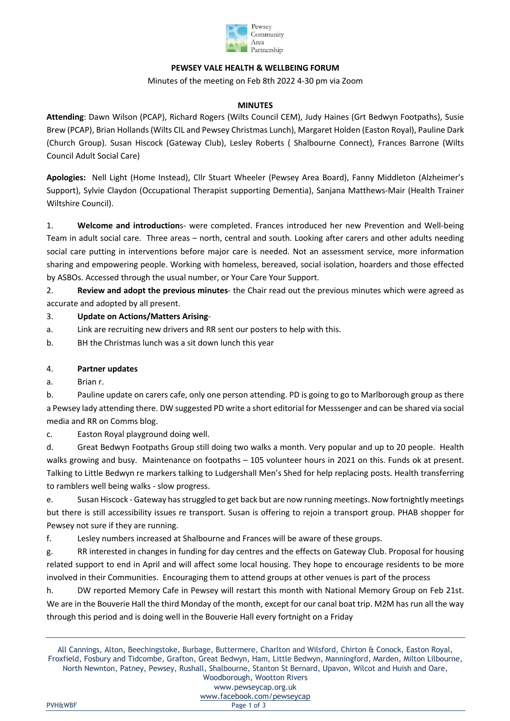

## **PEWSEY VALE HEALTH & WELLBEING FORUM**

Minutes of the meeting on Feb 8th 2022 4-30 pm via Zoom

## **MINUTES**

**Attending**: Dawn Wilson (PCAP), Richard Rogers (Wilts Council CEM), Judy Haines (Grt Bedwyn Footpaths), Susie Brew (PCAP), Brian Hollands (Wilts CIL and Pewsey Christmas Lunch), Margaret Holden (Easton Royal), Pauline Dark (Church Group). Susan Hiscock (Gateway Club), Lesley Roberts ( Shalbourne Connect), Frances Barrone (Wilts Council Adult Social Care)

**Apologies:** Nell Light (Home Instead), Cllr Stuart Wheeler (Pewsey Area Board), Fanny Middleton (Alzheimer's Support), Sylvie Claydon (Occupational Therapist supporting Dementia), Sanjana Matthews-Mair (Health Trainer Wiltshire Council).

1. **Welcome and introduction**s- were completed. Frances introduced her new Prevention and Well-being Team in adult social care. Three areas – north, central and south. Looking after carers and other adults needing social care putting in interventions before major care is needed. Not an assessment service, more information sharing and empowering people. Working with homeless, bereaved, social isolation, hoarders and those effected by ASBOs. Accessed through the usual number, or Your Care Your Support.

2. **Review and adopt the previous minutes**- the Chair read out the previous minutes which were agreed as accurate and adopted by all present.

## 3. **Update on Actions/Matters Arising**-

a. Link are recruiting new drivers and RR sent our posters to help with this.

b. BH the Christmas lunch was a sit down lunch this year

## 4. **Partner updates**

a. Brian r.

b. Pauline update on carers cafe, only one person attending. PD is going to go to Marlborough group as there a Pewsey lady attending there. DW suggested PD write a short editorial for Messsenger and can be shared via social media and RR on Comms blog.

c. Easton Royal playground doing well.

d. Great Bedwyn Footpaths Group still doing two walks a month. Very popular and up to 20 people. Health walks growing and busy. Maintenance on footpaths – 105 volunteer hours in 2021 on this. Funds ok at present. Talking to Little Bedwyn re markers talking to Ludgershall Men's Shed for help replacing posts. Health transferring to ramblers well being walks - slow progress.

e. Susan Hiscock - Gateway has struggled to get back but are now running meetings. Now fortnightly meetings but there is still accessibility issues re transport. Susan is offering to rejoin a transport group. PHAB shopper for Pewsey not sure if they are running.

f. Lesley numbers increased at Shalbourne and Frances will be aware of these groups.

g. RR interested in changes in funding for day centres and the effects on Gateway Club. Proposal for housing related support to end in April and will affect some local housing. They hope to encourage residents to be more involved in their Communities. Encouraging them to attend groups at other venues is part of the process

h. DW reported Memory Cafe in Pewsey will restart this month with National Memory Group on Feb 21st. We are in the Bouverie Hall the third Monday of the month, except for our canal boat trip. M2M has run all the way through this period and is doing well in the Bouverie Hall every fortnight on a Friday

All Cannings, Alton, Beechingstoke, Burbage, Buttermere, Charlton and Wilsford, Chirton & Conock, Easton Royal, Froxfield, Fosbury and Tidcombe, Grafton, Great Bedwyn, Ham, Little Bedwyn, Manningford, Marden, Milton Lilbourne, North Newnton, Patney, Pewsey, Rushall, Shalbourne, Stanton St Bernard, Upavon, Wilcot and Huish and Oare, Woodborough, Wootton Rivers